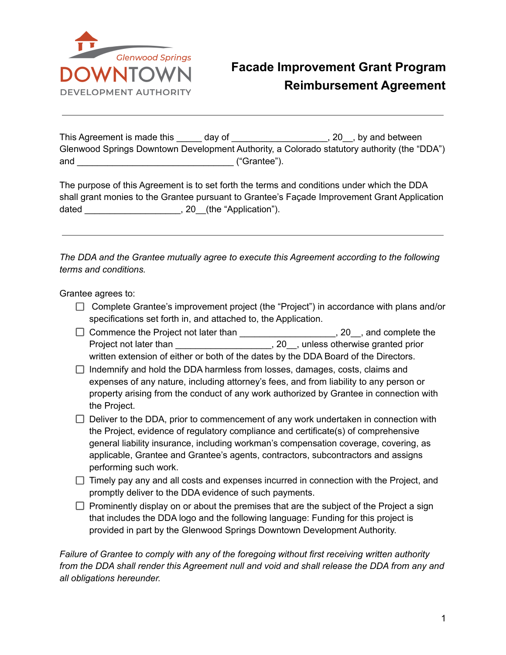

## **Facade Improvement Grant Program Reimbursement Agreement**

| This Agreement is made this | dav of      | 20, by and between                                                                          |
|-----------------------------|-------------|---------------------------------------------------------------------------------------------|
|                             |             | Glenwood Springs Downtown Development Authority, a Colorado statutory authority (the "DDA") |
| and                         | "Grantee"). |                                                                                             |

The purpose of this Agreement is to set forth the terms and conditions under which the DDA shall grant monies to the Grantee pursuant to Grantee's Façade Improvement Grant Application dated example and the "Application").

*The DDA and the Grantee mutually agree to execute this Agreement according to the following terms and conditions.*

Grantee agrees to:

- $\Box$  Complete Grantee's improvement project (the "Project") in accordance with plans and/or specifications set forth in, and attached to, the Application.
- □ Commence the Project not later than \_\_\_\_\_\_\_\_\_\_\_\_\_\_\_\_\_\_\_\_\_\_, 20\_\_, and complete the Project not later than \_\_\_\_\_\_\_\_\_\_\_\_\_\_\_\_\_\_\_\_\_\_\_\_\_, 20\_\_, unless otherwise granted prior written extension of either or both of the dates by the DDA Board of the Directors.
- $\Box$  Indemnify and hold the DDA harmless from losses, damages, costs, claims and expenses of any nature, including attorney's fees, and from liability to any person or property arising from the conduct of any work authorized by Grantee in connection with the Project.
- $\Box$  Deliver to the DDA, prior to commencement of any work undertaken in connection with the Project, evidence of regulatory compliance and certificate(s) of comprehensive general liability insurance, including workman's compensation coverage, covering, as applicable, Grantee and Grantee's agents, contractors, subcontractors and assigns performing such work.
- $\Box$  Timely pay any and all costs and expenses incurred in connection with the Project, and promptly deliver to the DDA evidence of such payments.
- $\Box$  Prominently display on or about the premises that are the subject of the Project a sign that includes the DDA logo and the following language: Funding for this project is provided in part by the Glenwood Springs Downtown Development Authority.

*Failure of Grantee to comply with any of the foregoing without first receiving written authority from the DDA shall render this Agreement null and void and shall release the DDA from any and all obligations hereunder.*